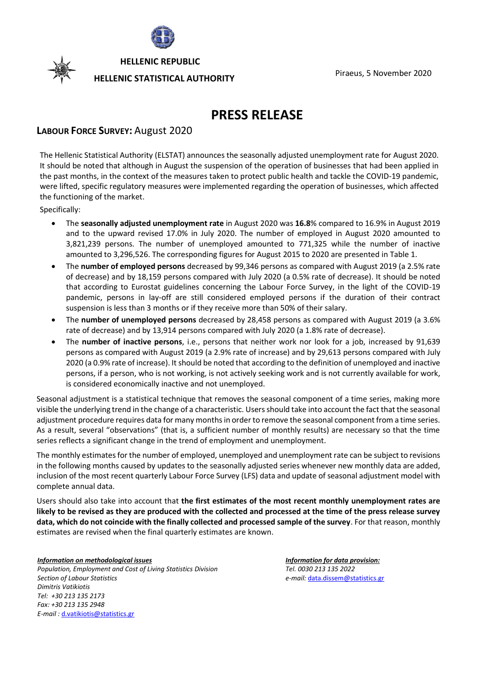

**HELLENIC REPUBLIC**

# Piraeus, <sup>5</sup> November <sup>2020</sup> **HELLENIC STATISTICAL AUTHORITY**

# **PRESS RELEASE**

## **LABOUR FORCE SURVEY:** August 2020

The Hellenic Statistical Authority (ELSTAT) announces the seasonally adjusted unemployment rate for August 2020. It should be noted that although in August the suspension of the operation of businesses that had been applied in the past months, in the context of the measures taken to protect public health and tackle the COVID-19 pandemic, were lifted, specific regulatory measures were implemented regarding the operation of businesses, which affected the functioning of the market.

Specifically:

- The **seasonally adjusted unemployment rate** in August 2020 was **16.8**% compared to 16.9% in August 2019 and to the upward revised 17.0% in July 2020. The number of employed in August 2020 amounted to 3,821,239 persons. The number of unemployed amounted to 771,325 while the number of inactive amounted to 3,296,526. The corresponding figures for August 2015 to 2020 are presented in Table 1.
- The **number of employed persons** decreased by 99,346 persons as compared with August 2019 (a 2.5% rate of decrease) and by 18,159 persons compared with July 2020 (a 0.5% rate of decrease). It should be noted that according to Eurostat guidelines concerning the Labour Force Survey, in the light of the COVID-19 pandemic, persons in lay-off are still considered employed persons if the duration of their contract suspension is less than 3 months or if they receive more than 50% of their salary.
- The **number of unemployed persons** decreased by 28,458 persons as compared with August 2019 (a 3.6% rate of decrease) and by 13,914 persons compared with July 2020 (a 1.8% rate of decrease).
- The **number of inactive persons**, i.e., persons that neither work nor look for a job, increased by 91,639 persons as compared with August 2019 (a 2.9% rate of increase) and by 29,613 persons compared with July 2020 (a 0.9% rate of increase). It should be noted that according to the definition of unemployed and inactive persons, if a person, who is not working, is not actively seeking work and is not currently available for work, is considered economically inactive and not unemployed.

Seasonal adjustment is a statistical technique that removes the seasonal component of a time series, making more visible the underlying trend in the change of a characteristic. Users should take into account the fact that the seasonal adjustment procedure requires data for many months in order to remove the seasonal component from a time series. As a result, several "observations" (that is, a sufficient number of monthly results) are necessary so that the time series reflects a significant change in the trend of employment and unemployment.

The monthly estimatesfor the number of employed, unemployed and unemployment rate can be subject to revisions in the following months caused by updates to the seasonally adjusted series whenever new monthly data are added, inclusion of the most recent quarterly Labour Force Survey (LFS) data and update of seasonal adjustment model with complete annual data.

Users should also take into account that **the first estimates of the most recent monthly unemployment rates are likely to be revised as they are produced with the collected and processed at the time of the press release survey data, which do not coincide with the finally collected and processed sample of the survey**. For that reason, monthly estimates are revised when the final quarterly estimates are known.

*Information on methodological issues Population, Employment and Cost of Living Statistics Division Section of Labour Statistics Dimitris Vatikiotis Tel: +30 213 135 2173 Fax: +30 213 135 2948 E-mail :* [d.vatikiotis@statistics.gr](mailto:d.vatikiotis@statistics.gr)

*Information for data provision: Tel. 0030 213 135 2022 e-mail:* [data.dissem@statistics.gr](mailto:data.dissem@statistics.gr)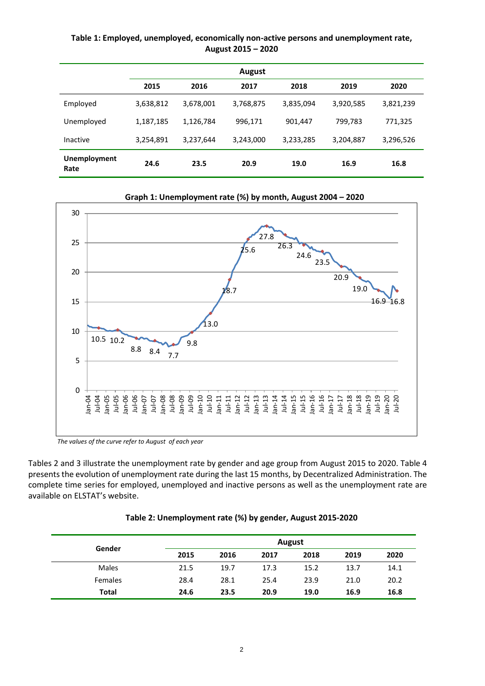**Table 1: Employed, unemployed, economically non-active persons and unemployment rate, August 2015 – 2020**

|                      |           |           | <b>August</b> |           |           |           |
|----------------------|-----------|-----------|---------------|-----------|-----------|-----------|
|                      | 2015      | 2016      | 2017          | 2018      | 2019      | 2020      |
| Employed             | 3,638,812 | 3,678,001 | 3,768,875     | 3,835,094 | 3,920,585 | 3,821,239 |
| Unemployed           | 1,187,185 | 1,126,784 | 996,171       | 901,447   | 799,783   | 771,325   |
| Inactive             | 3,254,891 | 3,237,644 | 3,243,000     | 3,233,285 | 3,204,887 | 3,296,526 |
| Unemployment<br>Rate | 24.6      | 23.5      | 20.9          | 19.0      | 16.9      | 16.8      |





*The values of the curve refer to August of each year*

Tables 2 and 3 illustrate the unemployment rate by gender and age group from August 2015 to 2020. Table 4 presents the evolution of unemployment rate during the last 15 months, by Decentralized Administration. The complete time series for employed, unemployed and inactive persons as well as the unemployment rate are available on ELSTAT's website.

|              |      |      |      | August |      |      |
|--------------|------|------|------|--------|------|------|
| Gender       | 2015 | 2016 | 2017 | 2018   | 2019 | 2020 |
| <b>Males</b> | 21.5 | 19.7 | 17.3 | 15.2   | 13.7 | 14.1 |
| Females      | 28.4 | 28.1 | 25.4 | 23.9   | 21.0 | 20.2 |
| <b>Total</b> | 24.6 | 23.5 | 20.9 | 19.0   | 16.9 | 16.8 |

#### **Table 2: Unemployment rate (%) by gender, August 2015-2020**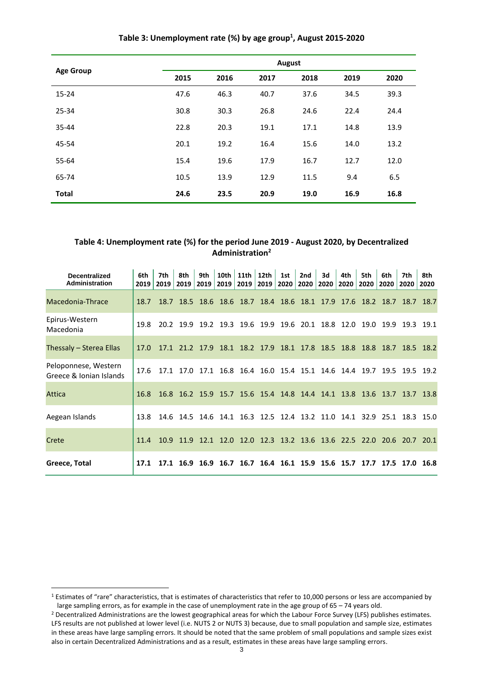|                  | August |      |      |      |      |      |  |  |  |
|------------------|--------|------|------|------|------|------|--|--|--|
| <b>Age Group</b> | 2015   | 2016 | 2017 | 2018 | 2019 | 2020 |  |  |  |
| $15 - 24$        | 47.6   | 46.3 | 40.7 | 37.6 | 34.5 | 39.3 |  |  |  |
| 25-34            | 30.8   | 30.3 | 26.8 | 24.6 | 22.4 | 24.4 |  |  |  |
| 35-44            | 22.8   | 20.3 | 19.1 | 17.1 | 14.8 | 13.9 |  |  |  |
| 45-54            | 20.1   | 19.2 | 16.4 | 15.6 | 14.0 | 13.2 |  |  |  |
| 55-64            | 15.4   | 19.6 | 17.9 | 16.7 | 12.7 | 12.0 |  |  |  |
| 65-74            | 10.5   | 13.9 | 12.9 | 11.5 | 9.4  | 6.5  |  |  |  |
| <b>Total</b>     | 24.6   | 23.5 | 20.9 | 19.0 | 16.9 | 16.8 |  |  |  |

## **Table 3: Unemployment rate (%) by age group<sup>1</sup> , August 2015-2020**

#### **Table 4: Unemployment rate (%) for the period June 2019 - August 2020, by Decentralized Administration<sup>2</sup>**

| <b>Decentralized</b><br><b>Administration</b>   | 6th<br>2019 | 7th<br>2019 2019 | 8th | 9th<br>2019 | 10th<br>2019 | 11th | 12th<br>2019   2019   2020 | 1st | 2nd<br>2020 | 3d<br>2020 | 4th<br>2020                                                           | 5th<br>2020 | 6th<br>2020 | 7th<br>2020 | 8th<br>2020 |
|-------------------------------------------------|-------------|------------------|-----|-------------|--------------|------|----------------------------|-----|-------------|------------|-----------------------------------------------------------------------|-------------|-------------|-------------|-------------|
| Macedonia-Thrace                                | 18.7        |                  |     |             |              |      |                            |     |             |            | 18.7 18.5 18.6 18.6 18.7 18.4 18.6 18.1 17.9 17.6 18.2 18.7 18.7 18.7 |             |             |             |             |
| Epirus-Western<br>Macedonia                     | 19.8        |                  |     |             |              |      |                            |     |             |            | 20.2 19.9 19.2 19.3 19.6 19.9 19.6 20.1 18.8 12.0 19.0 19.9           |             |             |             | 19.3 19.1   |
| Thessaly – Sterea Ellas                         | 17.0        |                  |     |             |              |      |                            |     |             |            | 17.1 21.2 17.9 18.1 18.2 17.9 18.1 17.8 18.5 18.8 18.8 18.7 18.5 18.2 |             |             |             |             |
| Peloponnese, Western<br>Greece & Ionian Islands | 17.6        |                  |     |             |              |      |                            |     |             |            | 17.1 17.0 17.1 16.8 16.4 16.0 15.4 15.1 14.6 14.4 19.7 19.5 19.5 19.2 |             |             |             |             |
| Attica                                          | 16.8        |                  |     |             |              |      |                            |     |             |            | 16.8 16.2 15.9 15.7 15.6 15.4 14.8 14.4 14.1 13.8 13.6 13.7 13.7 13.8 |             |             |             |             |
| Aegean Islands                                  | 13.8        |                  |     |             |              |      |                            |     |             |            | 14.6 14.5 14.6 14.1 16.3 12.5 12.4 13.2 11.0 14.1 32.9 25.1 18.3 15.0 |             |             |             |             |
| Crete                                           | 11.4        |                  |     |             |              |      |                            |     |             |            | 10.9 11.9 12.1 12.0 12.0 12.3 13.2 13.6 13.6 22.5 22.0 20.6 20.7 20.1 |             |             |             |             |
| Greece, Total                                   | 17.1        |                  |     |             |              |      |                            |     |             |            | 17.1 16.9 16.9 16.7 16.7 16.4 16.1 15.9 15.6 15.7 17.7 17.5 17.0 16.8 |             |             |             |             |

<sup>&</sup>lt;sup>1</sup> Estimates of "rare" characteristics, that is estimates of characteristics that refer to 10,000 persons or less are accompanied by large sampling errors, as for example in the case of unemployment rate in the age group of 65 – 74 years old.

<sup>&</sup>lt;sup>2</sup> Decentralized Administrations are the lowest geographical areas for which the Labour Force Survey (LFS) publishes estimates. LFS results are not published at lower level (i.e. NUTS 2 or NUTS 3) because, due to small population and sample size, estimates in these areas have large sampling errors. It should be noted that the same problem of small populations and sample sizes exist also in certain Decentralized Administrations and as a result, estimates in these areas have large sampling errors.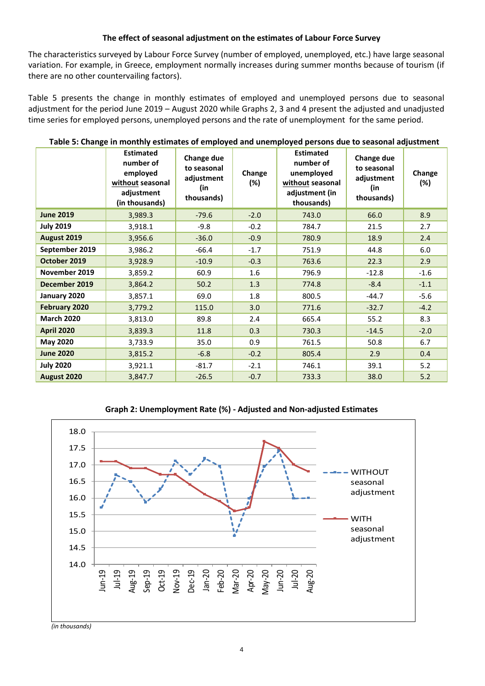### **The effect of seasonal adjustment on the estimates of Labour Force Survey**

The characteristics surveyed by Labour Force Survey (number of employed, unemployed, etc.) have large seasonal variation. For example, in Greece, employment normally increases during summer months because of tourism (if there are no other countervailing factors).

Table 5 presents the change in monthly estimates of employed and unemployed persons due to seasonal adjustment for the period June 2019 – August 2020 while Graphs 2, 3 and 4 present the adjusted and unadjusted time series for employed persons, unemployed persons and the rate of unemployment for the same period.

|                   | Table 5: Change in monthly estimates of employed and unemployed persons due to seasonal adjustment |                                                              |                  |                                                                                                 |                                                              |               |
|-------------------|----------------------------------------------------------------------------------------------------|--------------------------------------------------------------|------------------|-------------------------------------------------------------------------------------------------|--------------------------------------------------------------|---------------|
|                   | <b>Estimated</b><br>number of<br>employed<br>without seasonal<br>adjustment<br>(in thousands)      | Change due<br>to seasonal<br>adjustment<br>(in<br>thousands) | Change<br>$(\%)$ | <b>Estimated</b><br>number of<br>unemployed<br>without seasonal<br>adjustment (in<br>thousands) | Change due<br>to seasonal<br>adjustment<br>(in<br>thousands) | Change<br>(%) |
| <b>June 2019</b>  | 3,989.3                                                                                            | $-79.6$                                                      | $-2.0$           | 743.0                                                                                           | 66.0                                                         | 8.9           |
| <b>July 2019</b>  | 3,918.1                                                                                            | $-9.8$                                                       | $-0.2$           | 784.7                                                                                           | 21.5                                                         | 2.7           |
| August 2019       | 3,956.6                                                                                            | $-36.0$                                                      | $-0.9$           | 780.9                                                                                           | 18.9                                                         | 2.4           |
| September 2019    | 3,986.2                                                                                            | $-66.4$                                                      | $-1.7$           | 751.9                                                                                           | 44.8                                                         | 6.0           |
| October 2019      | 3,928.9                                                                                            | $-10.9$                                                      | $-0.3$           | 763.6                                                                                           | 22.3                                                         | 2.9           |
| November 2019     | 3,859.2                                                                                            | 60.9                                                         | 1.6              | 796.9                                                                                           | $-12.8$                                                      | $-1.6$        |
| December 2019     | 3,864.2                                                                                            | 50.2                                                         | 1.3              | 774.8                                                                                           | $-8.4$                                                       | $-1.1$        |
| January 2020      | 3,857.1                                                                                            | 69.0                                                         | 1.8              | 800.5                                                                                           | $-44.7$                                                      | $-5.6$        |
| February 2020     | 3,779.2                                                                                            | 115.0                                                        | 3.0              | 771.6                                                                                           | $-32.7$                                                      | $-4.2$        |
| <b>March 2020</b> | 3,813.0                                                                                            | 89.8                                                         | 2.4              | 665.4                                                                                           | 55.2                                                         | 8.3           |
| <b>April 2020</b> | 3,839.3                                                                                            | 11.8                                                         | 0.3              | 730.3                                                                                           | $-14.5$                                                      | $-2.0$        |
| <b>May 2020</b>   | 3,733.9                                                                                            | 35.0                                                         | 0.9              | 761.5                                                                                           | 50.8                                                         | 6.7           |
| <b>June 2020</b>  | 3,815.2                                                                                            | $-6.8$                                                       | $-0.2$           | 805.4                                                                                           | 2.9                                                          | 0.4           |
| <b>July 2020</b>  | 3,921.1                                                                                            | -81.7                                                        | $-2.1$           | 746.1                                                                                           | 39.1                                                         | 5.2           |
| August 2020       | 3,847.7                                                                                            | $-26.5$                                                      | $-0.7$           | 733.3                                                                                           | 38.0                                                         | 5.2           |

**Table 5: Change in monthly estimates of employed and unemployed persons due to seasonal adjustment**





*(in thousands)*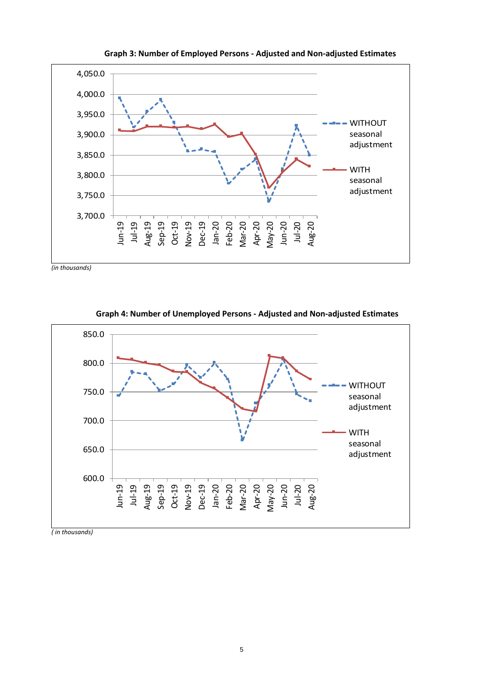

**Graph 3: Number of Employed Persons - Adjusted and Non-adjusted Estimates**

*(in thousands)*



**Graph 4: Number of Unemployed Persons - Adjusted and Non-adjusted Estimates**

*( in thousands)*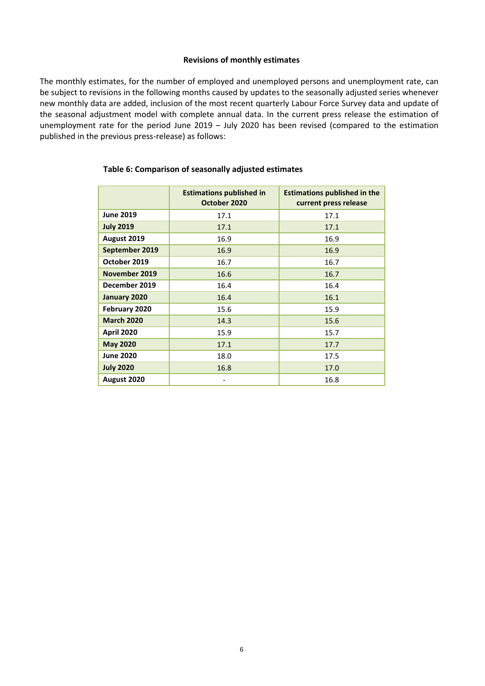#### **Revisions of monthly estimates**

The monthly estimates, for the number of employed and unemployed persons and unemployment rate, can be subject to revisions in the following months caused by updates to the seasonally adjusted series whenever new monthly data are added, inclusion of the most recent quarterly Labour Force Survey data and update of the seasonal adjustment model with complete annual data. In the current press release the estimation of unemployment rate for the period June 2019 – July 2020 has been revised (compared to the estimation published in the previous press-release) as follows:

|                   | <b>Estimations published in</b><br>October 2020 | <b>Estimations published in the</b><br>current press release |
|-------------------|-------------------------------------------------|--------------------------------------------------------------|
| <b>June 2019</b>  | 17.1                                            | 17.1                                                         |
| <b>July 2019</b>  | 17.1                                            | 17.1                                                         |
| August 2019       | 16.9                                            | 16.9                                                         |
| September 2019    | 16.9                                            | 16.9                                                         |
| October 2019      | 16.7                                            | 16.7                                                         |
| November 2019     | 16.6                                            | 16.7                                                         |
| December 2019     | 16.4                                            | 16.4                                                         |
| January 2020      | 16.4                                            | 16.1                                                         |
| February 2020     | 15.6                                            | 15.9                                                         |
| <b>March 2020</b> | 14.3                                            | 15.6                                                         |
| <b>April 2020</b> | 15.9                                            | 15.7                                                         |
| <b>May 2020</b>   | 17.1                                            | 17.7                                                         |
| <b>June 2020</b>  | 18.0                                            | 17.5                                                         |
| <b>July 2020</b>  | 16.8                                            | 17.0                                                         |
| August 2020       |                                                 | 16.8                                                         |

#### **Table 6: Comparison of seasonally adjusted estimates**